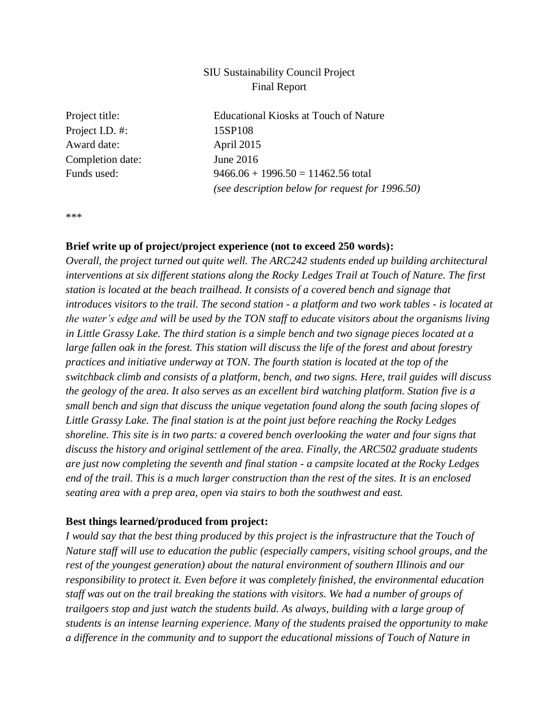# SIU Sustainability Council Project Final Report

| Project title:   | <b>Educational Kiosks at Touch of Nature</b>    |
|------------------|-------------------------------------------------|
| Project I.D. #:  | 15SP108                                         |
| Award date:      | April 2015                                      |
| Completion date: | June $2016$                                     |
| Funds used:      | $9466.06 + 1996.50 = 11462.56$ total            |
|                  | (see description below for request for 1996.50) |
|                  |                                                 |

\*\*\*

#### **Brief write up of project/project experience (not to exceed 250 words):**

*Overall, the project turned out quite well. The ARC242 students ended up building architectural interventions at six different stations along the Rocky Ledges Trail at Touch of Nature. The first station is located at the beach trailhead. It consists of a covered bench and signage that introduces visitors to the trail. The second station - a platform and two work tables - is located at the water's edge and will be used by the TON staff to educate visitors about the organisms living in Little Grassy Lake. The third station is a simple bench and two signage pieces located at a large fallen oak in the forest. This station will discuss the life of the forest and about forestry practices and initiative underway at TON. The fourth station is located at the top of the switchback climb and consists of a platform, bench, and two signs. Here, trail guides will discuss the geology of the area. It also serves as an excellent bird watching platform. Station five is a small bench and sign that discuss the unique vegetation found along the south facing slopes of Little Grassy Lake. The final station is at the point just before reaching the Rocky Ledges shoreline. This site is in two parts: a covered bench overlooking the water and four signs that discuss the history and original settlement of the area. Finally, the ARC502 graduate students are just now completing the seventh and final station - a campsite located at the Rocky Ledges end of the trail. This is a much larger construction than the rest of the sites. It is an enclosed seating area with a prep area, open via stairs to both the southwest and east.*

#### **Best things learned/produced from project:**

*I would say that the best thing produced by this project is the infrastructure that the Touch of Nature staff will use to education the public (especially campers, visiting school groups, and the rest of the youngest generation) about the natural environment of southern Illinois and our responsibility to protect it. Even before it was completely finished, the environmental education staff was out on the trail breaking the stations with visitors. We had a number of groups of trailgoers stop and just watch the students build. As always, building with a large group of students is an intense learning experience. Many of the students praised the opportunity to make a difference in the community and to support the educational missions of Touch of Nature in*